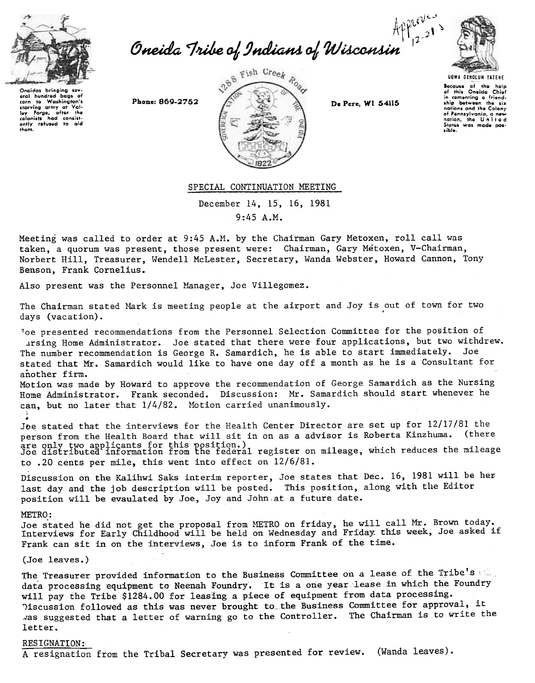

Apperton<br>Cneida Tribe of Indians of Wisconsin



Ongidas bringing say<br>aral hundred baas s aral hundred corn to Washington's starving army at Val-<br>Iey Forge, after the<br>colonists had consist-<br>ently refused to aid thgm.



UGWA OEHOlUH YATEHE Because of the help<br>of this Oneida Chie<br>in comenting a friend<br>ship between the six nations ond tho Colony of Pennsylvania, a new<br>nation, the United<br>States was made positible.

SPECIAL CONTINUATION MEETING

December 14, 15, 16, 1981 9:45 A.M.

Meeting was called to order at 9:45 A.M. by the Chairman Gary Metoxen, roll call was taken, a quorum was present, those present were: Chairman, Gary Metoxen, V-Chairman, Norbert Hill, Treasurer, Wendell McLester, Secretary, Wanda Webster, Howard Cannon, Tony Benson, Frank Cornelius.

Also present was the Personnel Manager, Joe Villegomez.

The Chairman stated Mark is meeting people at the airport and Joy is out of town for two  $\sim$ 

Toe presented recommendations from the Personnel Selection Committee for the position of .lrsing Home Administrator. Joe stated that there were four applications, but two withdrew. The number recommendation is George R. Samardich, he is able to start immediately. Joe stated that Mr. Samardich would like to have one day off a month as he is a Consultant f<br>another firm. another firm.

Motion was made by Howard to approve the recommendation of George Samardich as the Nursing Home Administrator. Frank seconded. Discussion: Mr. Samardich should start whenever he can, but no later that  $1/4/82$ . Motion carried unanimously.

Joe stated that the interviews for the Health Center Director are set up for 12/17/81 the person from the Health Board that will sit in on as a advisor is Roberta Kinzhuma. (there are only two applicants for this position.)<br>Joe distributed information from the federal register on mileage, which reduces the mileage to .20 cents per mile, this went into effect on 12/6/81.

Discussion on the Kalihwi Saks interim reporter, Joe states that Dec. 16, 1981 will be her last day and the job description will be posted. This position, along with the Editor position will be evaulated by Joe, Joy and John,at a future date.

### METRO:

Joe stated he did not get the proposal from METRO on friday, he will call Mr. Brown tod Interviews for Early Childhood will be held on Wednesday and Friday this week, Joe asked  $\overline{\phantom{a}}$ Frank can sit in on the interviews, Joe is to inform Frank of the time.

(Joe leaves.)

The Treasurer provided information to the Business Committee on a lease of the Tribe's data processing equipment to Neenah Foundry. It is a one year lease in which the Foundry will pay the Tribe \$1284.00 for leasIng a piece of equipment from data processing. Discussion followed as this was never brought to the Business Committee for approval, it ~as suggested that a letter of warning go to the Controller. The Chairman is to write the letter.

## RESIGNATION:

A resignation from the Tribal Secretary was presented for review. (Wanda leaves).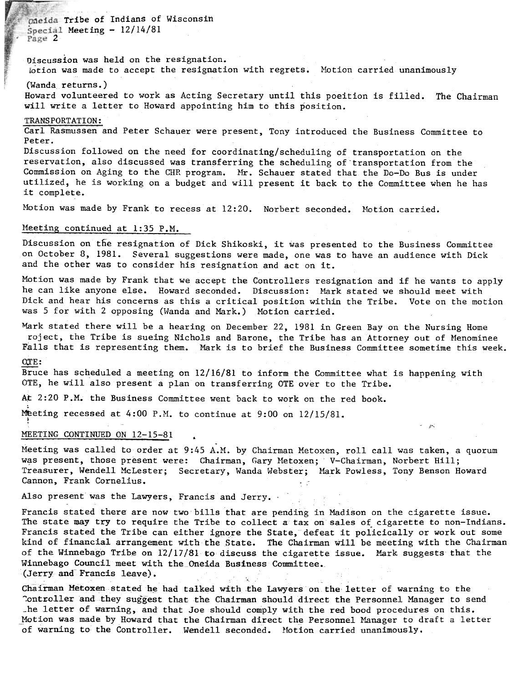maeida Tribe of Indians of Wisconsin  $Spectail$  Meeting -  $12/14/81$ Page 2

Discussion was held on the resignation. lotion was made to accept the resignation with regrets. Motion carried unanimously

(Wanda returns.)

Howard volunteered to work as Acting Secretary until this poeition is filied. The Chairman will write a letter to Howard appointing him to this position.

## TRANSPORTATION:

Carl Rasmussen and Peter Schauer were present, Tony introduced the Business Committee to Peter.

Discussion followed on the need for coordinating/scheduling of transportation on the reservation, also discussed was transferring the scheduling of "transportation from the Commission on Aging to the CHR program. Mr. Schauer stated that the Do-Do Bus is under utilized, he is working on a budget and will present it back to the Committee when he has it complete.

Motion was made by Frank to recess at 12:20. Norbert seconded. Motion carried.

## Meeting continued at 1:35 P.M.

Discussion on tfie resignation of Dick Shikoski, it was presented to the Business Committee on October 8, 1981. Several suggestions were made, one was to have an audience with Dick and the other was to consider his resignation and act on it.

Motion was made by Frank that we accept the Controllers resignation and if he wants to apply he can like anyone else. Howard seconded. Discussion: Mark stated we should meet with Dick and hear his concerns as this a critical position within the Tribe. Vote on the motion was 5 for with 2 opposing (Wanda and Mark.) Motion carried.

Mark stated there will be a hearing on December 22, 1981 in Green Bay on the Nursing Home roject, the Tribe is sueing Nichols and Barone, the Tribe has an Attorney out of Menominee Falls that is representing them. Mark is to brief the Business Committee sometime this week.

#### $\Omega \text{TF}$ :

Bruce has scheduled a meeting on 12/16/81 to inform the Committee what is happening with OTE, he will also present a plan on transferring OTE over to the Tribe.

At 2:20 P.M. the Business Committee went back to work on the red book. .

Meeting recessed at 4:00 P.M. to continue at 9:00 on 12/15/8

## MEETING CONTINUED ON 12-15-81

Meeting was called to order at 9:45 A.M. by Chairman Metoxen, roll call was taken, a quorum was present, those present were: Chairman, Gary Metoxen; V-Chairman, Norbert Hill; Treasurer, Wendell McLester; Secretary, Wanda Webster; Mark Powless, Tony Benson Howard Cannon, Frank Cornelius.

 $-$ 

Also present was the Lawyers, Francis and Jerry.

Francis stated there are now two bills that are pending in Madison on the cigarette issue. The state may try to require the Tribe to collect a tax on sales of cigarette to non-Indians. Francis stated the Tribe can either ignore the State, defeat it policically or work out some kind of financial arrangement with the State. The Chairman will be meeting with the Chairman of the Winnebago Tribe on  $12/17/81$  to discuss the cigarette issue. Mark suggests that the Winnebago Council meet with the\_oneida Business Committee. (Jerry and Francis leave).

Chairman Metoxen stated he had talked with the Lawyers on the letter of warning to the "Ontroller and they suggest that the Chairman should direct the Personnel Manager to send \_he letter of warning, and that Joe should comply with the red bood procedures on this. Motion was made by Howard that the Chairman direct the Personnel Manager to draft a letter of warning to the Controller. Wendell seconded. Motion carried unanimously.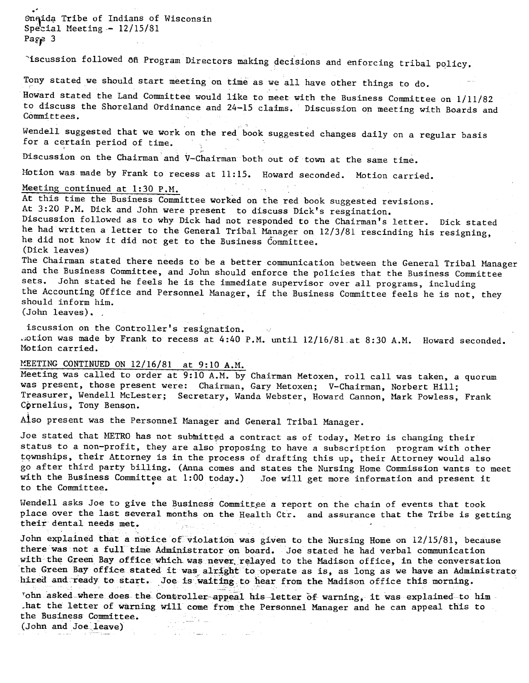.<br>Onqida Tribe of Indians of Wiscons Special Meeting  $-12/15/81$  $Page 3$ 

Iscussion followed on Program Directors making decisions and enforcing tribal policy.

Tony stated we should start meeting on time as we all have other things to do.

Howard stated the Land Committee would like to meet with the Business Committee on 1/11/82 to discuss the Shoreland Ordinance and 24-15 claims. Discussion on meeting with Boards and Committees.

Wendell suggested that we work on the red book suggested changes daily on a regular basi<br>for a certain period of time

Discussion on the Chairman and V-Chairman both out of town at the same time.

Motion was made by Frank to recess at 11:15. Howard seconded. Motion carried.

## Meeting continued at  $1:30$  P.M.

At this time the Business Committee worked on the red book suggested revisions. At 3:20 P.M. Dick and John were present to discuss Dick's resgination.

Discussion followed as to why Dick had not responded to the Chairman's letter. Dick stated he had written a letter to the General Tribal Manager on  $12/3/81$  rescinding his resigning, he did not know it did not get to the Business Committee. (Dick leaves)

The Chairman stated there needs to be a better communication between the General Tribal Manager and the Business Committee, and John should enforce the policies that the Business Committee sets. John stated he feels he is the immediate supervisor over all programs, including the Accounting Office and Personnel Manager, if the Business Committee feels he is not, they should inform him. (John leaves). .

iscussion on the Controller's resignation. . otion was made by Frank to recess at 4:40 P.M. until  $12/16/81$  at 8:30 A.M. Howard seconded. Motion carried.

# MEETING CONTINUED ON 12/16/81 at 9:10 A.M.

Meeting was called to order at 9:10 A.M. by Chairman Metoxen, roll call was taken, a quorum was present, those present were: Chairman, Gary Metoxen; V-Chairman, Norbert Hill; Treasurer, Wendell McLester; Secretary, Wanda Webster, Howard Cannon, Mark Powless, Frank Cprnelius, Tony Benson.

Also present was the Personnel Manager and General Tribal Manager.

Joe stated that METRO has not submitted a contract as of today, Metro is changing their status to a non-profit, they are also proposing to have a subscription program with other townships, their Attorney is in the process of drafting this up, their Attorney would also go after third party billing. (Anna comes and states the Nursing Home Commission wants to meet go arter third party biring. (Anna comes and states the Nursing Home Commission wants to<br>with the Business Committee at 1:00 today.) Joe will get more information and present i<br>to the Committee. to the Committee.

Wendell asks Joe to give the Business Committee a report on the chain of events that took place over the last several months on the Health Ctr. and assurance that the Tribe is getting their dental needs met.

John explained that a notice of violation was given to the Nursing Home on 12/15/81, because there was not a full time Administrator on board. Joe stated he had verbal communication with the Green Bay office which was never relayed to the Madison office, in the conversation the Green Bay office stated it was alright to operate as is, as long as we have an Administrato hired and ready to start. Joe is waiting to hear from the Madison office this morning.

Tohn asked-where does the Controller appeal his-letter of warning, it was explained to himhat the letter of warning will come from the Personnel Manager and he can appeal this to the Business Committee. (John and Joe leave)

--~ -